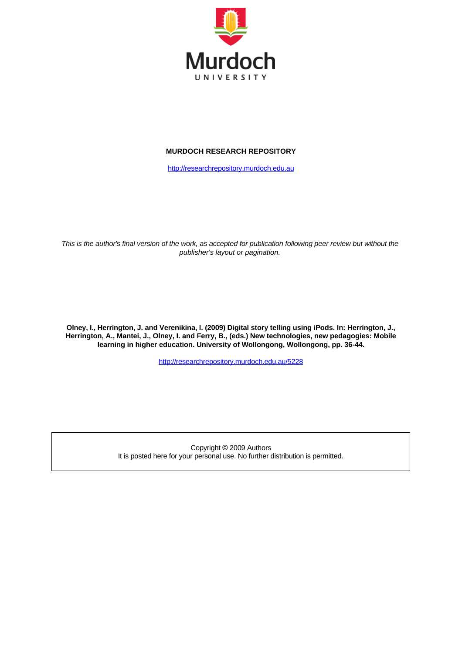

## **MURDOCH RESEARCH REPOSITORY**

[http://researchrepository.murdoch.edu.au](http://researchrepository.murdoch.edu.au/)

*This is the author's final version of the work, as accepted for publication following peer review but without the publisher's layout or pagination.*

**Olney, I., Herrington, J. and Verenikina, I. (2009) Digital story telling using iPods. In: Herrington, J., Herrington, A., Mantei, J., Olney, I. and Ferry, B., (eds.) New technologies, new pedagogies: Mobile learning in higher education. University of Wollongong, Wollongong, pp. 36-44.**

<http://researchrepository.murdoch.edu.au/5228>

Copyright © 2009 Authors It is posted here for your personal use. No further distribution is permitted.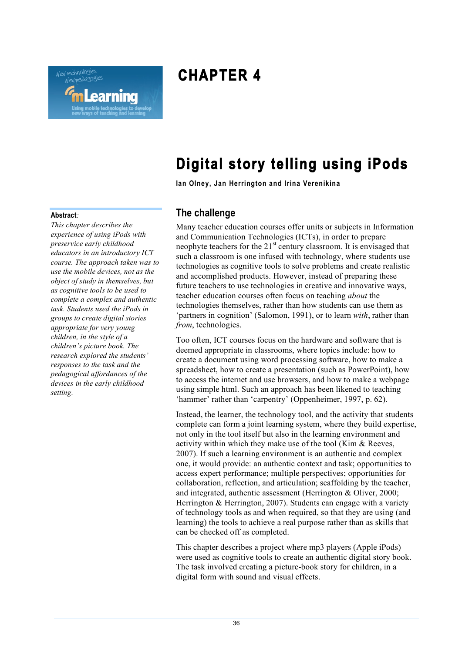# **CHAPTER 4**

# **Digital story telling using iPods**

**Ian Olney, Jan Herrington and Irina Verenikina** 

### **Abstract***:*

Nexpedagogie

**earning** 

*This chapter describes the experience of using iPods with preservice early childhood educators in an introductory ICT course. The approach taken was to use the mobile devices, not as the object of study in themselves, but as cognitive tools to be used to complete a complex and authentic task. Students used the iPods in groups to create digital stories appropriate for very young children, in the style of a children's picture book. The research explored the students' responses to the task and the pedagogical affordances of the devices in the early childhood setting.*

# **The challenge**

Many teacher education courses offer units or subjects in Information and Communication Technologies (ICTs), in order to prepare neophyte teachers for the  $21<sup>st</sup>$  century classroom. It is envisaged that such a classroom is one infused with technology, where students use technologies as cognitive tools to solve problems and create realistic and accomplished products. However, instead of preparing these future teachers to use technologies in creative and innovative ways, teacher education courses often focus on teaching *about* the technologies themselves, rather than how students can use them as 'partners in cognition' (Salomon, 1991), or to learn *with*, rather than *from*, technologies.

Too often, ICT courses focus on the hardware and software that is deemed appropriate in classrooms, where topics include: how to create a document using word processing software, how to make a spreadsheet, how to create a presentation (such as PowerPoint), how to access the internet and use browsers, and how to make a webpage using simple html. Such an approach has been likened to teaching 'hammer' rather than 'carpentry' (Oppenheimer, 1997, p. 62).

Instead, the learner, the technology tool, and the activity that students complete can form a joint learning system, where they build expertise, not only in the tool itself but also in the learning environment and activity within which they make use of the tool (Kim & Reeves, 2007). If such a learning environment is an authentic and complex one, it would provide: an authentic context and task; opportunities to access expert performance; multiple perspectives; opportunities for collaboration, reflection, and articulation; scaffolding by the teacher, and integrated, authentic assessment (Herrington & Oliver, 2000; Herrington & Herrington, 2007). Students can engage with a variety of technology tools as and when required, so that they are using (and learning) the tools to achieve a real purpose rather than as skills that can be checked off as completed.

This chapter describes a project where mp3 players (Apple iPods) were used as cognitive tools to create an authentic digital story book. The task involved creating a picture-book story for children, in a digital form with sound and visual effects.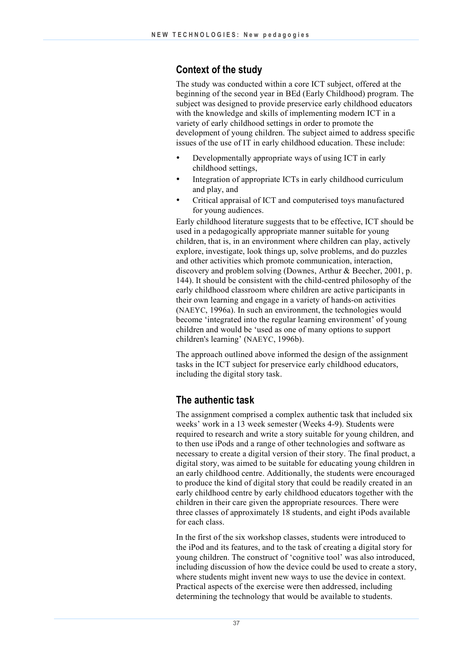## **Context of the study**

The study was conducted within a core ICT subject, offered at the beginning of the second year in BEd (Early Childhood) program. The subject was designed to provide preservice early childhood educators with the knowledge and skills of implementing modern ICT in a variety of early childhood settings in order to promote the development of young children. The subject aimed to address specific issues of the use of IT in early childhood education. These include:

- Developmentally appropriate ways of using ICT in early childhood settings,
- Integration of appropriate ICTs in early childhood curriculum and play, and
- Critical appraisal of ICT and computerised toys manufactured for young audiences.

Early childhood literature suggests that to be effective, ICT should be used in a pedagogically appropriate manner suitable for young children, that is, in an environment where children can play, actively explore, investigate, look things up, solve problems, and do puzzles and other activities which promote communication, interaction, discovery and problem solving (Downes, Arthur & Beecher, 2001, p. 144). It should be consistent with the child-centred philosophy of the early childhood classroom where children are active participants in their own learning and engage in a variety of hands-on activities (NAEYC, 1996a). In such an environment, the technologies would become 'integrated into the regular learning environment' of young children and would be 'used as one of many options to support children's learning' (NAEYC, 1996b).

The approach outlined above informed the design of the assignment tasks in the ICT subject for preservice early childhood educators, including the digital story task.

# **The authentic task**

The assignment comprised a complex authentic task that included six weeks' work in a 13 week semester (Weeks 4-9). Students were required to research and write a story suitable for young children, and to then use iPods and a range of other technologies and software as necessary to create a digital version of their story. The final product, a digital story, was aimed to be suitable for educating young children in an early childhood centre. Additionally, the students were encouraged to produce the kind of digital story that could be readily created in an early childhood centre by early childhood educators together with the children in their care given the appropriate resources. There were three classes of approximately 18 students, and eight iPods available for each class.

In the first of the six workshop classes, students were introduced to the iPod and its features, and to the task of creating a digital story for young children. The construct of 'cognitive tool' was also introduced, including discussion of how the device could be used to create a story, where students might invent new ways to use the device in context. Practical aspects of the exercise were then addressed, including determining the technology that would be available to students.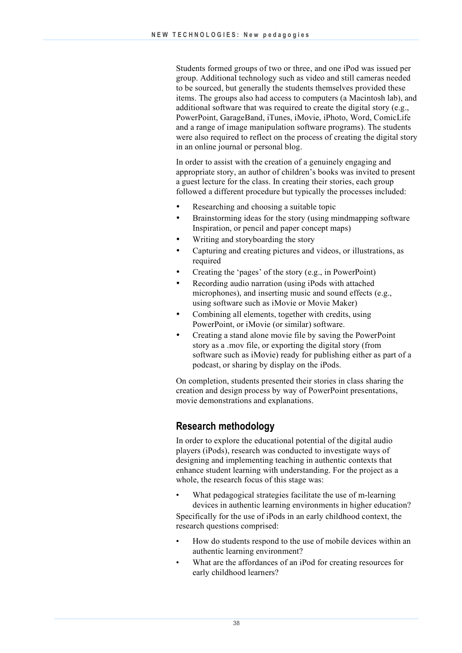Students formed groups of two or three, and one iPod was issued per group. Additional technology such as video and still cameras needed to be sourced, but generally the students themselves provided these items. The groups also had access to computers (a Macintosh lab), and additional software that was required to create the digital story (e.g., PowerPoint, GarageBand, iTunes, iMovie, iPhoto, Word, ComicLife and a range of image manipulation software programs). The students were also required to reflect on the process of creating the digital story in an online journal or personal blog.

In order to assist with the creation of a genuinely engaging and appropriate story, an author of children's books was invited to present a guest lecture for the class. In creating their stories, each group followed a different procedure but typically the processes included:

- Researching and choosing a suitable topic
- Brainstorming ideas for the story (using mindmapping software Inspiration, or pencil and paper concept maps)
- Writing and storyboarding the story
- Capturing and creating pictures and videos, or illustrations, as required
- Creating the 'pages' of the story (e.g., in PowerPoint)
- Recording audio narration (using iPods with attached microphones), and inserting music and sound effects (e.g., using software such as iMovie or Movie Maker)
- Combining all elements, together with credits, using PowerPoint, or iMovie (or similar) software.
- Creating a stand alone movie file by saving the PowerPoint story as a .mov file, or exporting the digital story (from software such as iMovie) ready for publishing either as part of a podcast, or sharing by display on the iPods.

On completion, students presented their stories in class sharing the creation and design process by way of PowerPoint presentations, movie demonstrations and explanations.

## **Research methodology**

In order to explore the educational potential of the digital audio players (iPods), research was conducted to investigate ways of designing and implementing teaching in authentic contexts that enhance student learning with understanding. For the project as a whole, the research focus of this stage was:

What pedagogical strategies facilitate the use of m-learning devices in authentic learning environments in higher education? Specifically for the use of iPods in an early childhood context, the research questions comprised:

- How do students respond to the use of mobile devices within an authentic learning environment?
- What are the affordances of an iPod for creating resources for early childhood learners?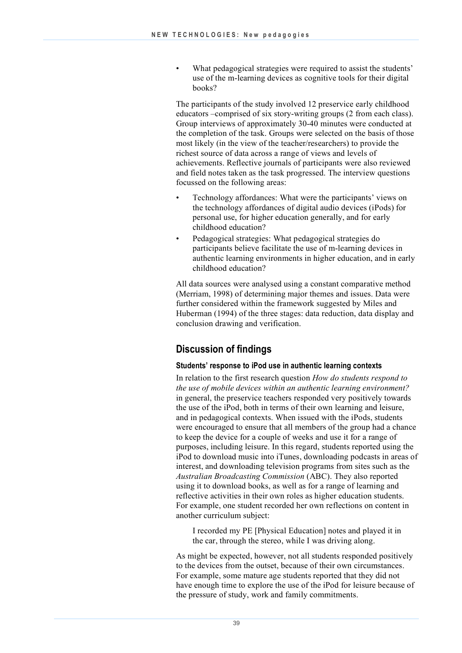What pedagogical strategies were required to assist the students' use of the m-learning devices as cognitive tools for their digital books?

The participants of the study involved 12 preservice early childhood educators –comprised of six story-writing groups (2 from each class). Group interviews of approximately 30-40 minutes were conducted at the completion of the task. Groups were selected on the basis of those most likely (in the view of the teacher/researchers) to provide the richest source of data across a range of views and levels of achievements. Reflective journals of participants were also reviewed and field notes taken as the task progressed. The interview questions focussed on the following areas:

- Technology affordances: What were the participants' views on the technology affordances of digital audio devices (iPods) for personal use, for higher education generally, and for early childhood education?
- Pedagogical strategies: What pedagogical strategies do participants believe facilitate the use of m-learning devices in authentic learning environments in higher education, and in early childhood education?

All data sources were analysed using a constant comparative method (Merriam, 1998) of determining major themes and issues. Data were further considered within the framework suggested by Miles and Huberman (1994) of the three stages: data reduction, data display and conclusion drawing and verification.

# **Discussion of findings**

## **Students' response to iPod use in authentic learning contexts**

In relation to the first research question *How do students respond to the use of mobile devices within an authentic learning environment?* in general, the preservice teachers responded very positively towards the use of the iPod, both in terms of their own learning and leisure, and in pedagogical contexts. When issued with the iPods, students were encouraged to ensure that all members of the group had a chance to keep the device for a couple of weeks and use it for a range of purposes, including leisure. In this regard, students reported using the iPod to download music into iTunes, downloading podcasts in areas of interest, and downloading television programs from sites such as the *Australian Broadcasting Commission* (ABC). They also reported using it to download books, as well as for a range of learning and reflective activities in their own roles as higher education students. For example, one student recorded her own reflections on content in another curriculum subject:

I recorded my PE [Physical Education] notes and played it in the car, through the stereo, while I was driving along.

As might be expected, however, not all students responded positively to the devices from the outset, because of their own circumstances. For example, some mature age students reported that they did not have enough time to explore the use of the iPod for leisure because of the pressure of study, work and family commitments.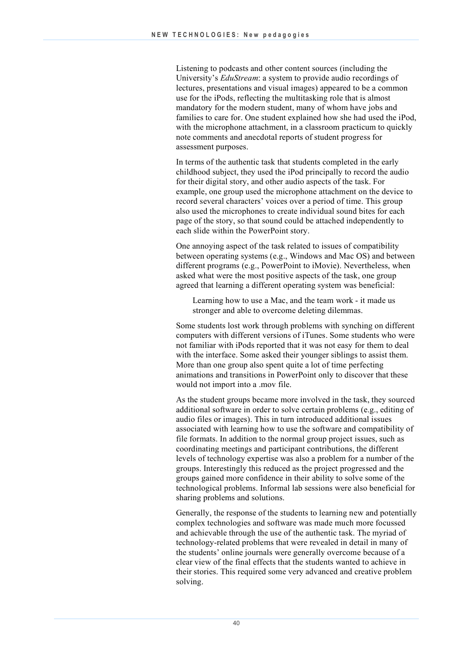Listening to podcasts and other content sources (including the University's *EduStream*: a system to provide audio recordings of lectures, presentations and visual images) appeared to be a common use for the iPods, reflecting the multitasking role that is almost mandatory for the modern student, many of whom have jobs and families to care for. One student explained how she had used the iPod, with the microphone attachment, in a classroom practicum to quickly note comments and anecdotal reports of student progress for assessment purposes.

In terms of the authentic task that students completed in the early childhood subject, they used the iPod principally to record the audio for their digital story, and other audio aspects of the task. For example, one group used the microphone attachment on the device to record several characters' voices over a period of time. This group also used the microphones to create individual sound bites for each page of the story, so that sound could be attached independently to each slide within the PowerPoint story.

One annoying aspect of the task related to issues of compatibility between operating systems (e.g., Windows and Mac OS) and between different programs (e.g., PowerPoint to iMovie). Nevertheless, when asked what were the most positive aspects of the task, one group agreed that learning a different operating system was beneficial:

Learning how to use a Mac, and the team work - it made us stronger and able to overcome deleting dilemmas.

Some students lost work through problems with synching on different computers with different versions of iTunes. Some students who were not familiar with iPods reported that it was not easy for them to deal with the interface. Some asked their younger siblings to assist them. More than one group also spent quite a lot of time perfecting animations and transitions in PowerPoint only to discover that these would not import into a .mov file.

As the student groups became more involved in the task, they sourced additional software in order to solve certain problems (e.g., editing of audio files or images). This in turn introduced additional issues associated with learning how to use the software and compatibility of file formats. In addition to the normal group project issues, such as coordinating meetings and participant contributions, the different levels of technology expertise was also a problem for a number of the groups. Interestingly this reduced as the project progressed and the groups gained more confidence in their ability to solve some of the technological problems. Informal lab sessions were also beneficial for sharing problems and solutions.

Generally, the response of the students to learning new and potentially complex technologies and software was made much more focussed and achievable through the use of the authentic task. The myriad of technology-related problems that were revealed in detail in many of the students' online journals were generally overcome because of a clear view of the final effects that the students wanted to achieve in their stories. This required some very advanced and creative problem solving.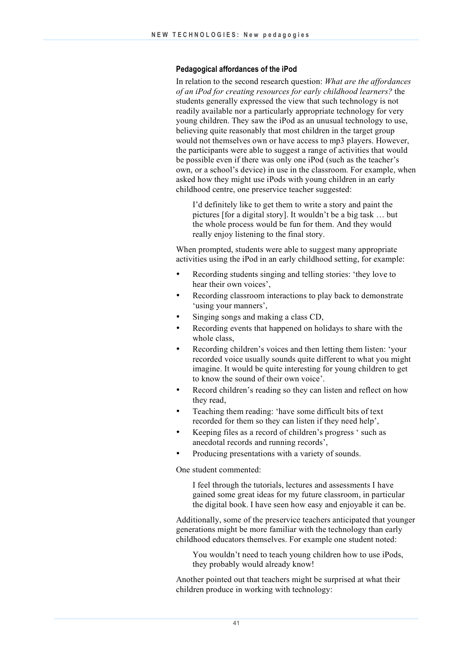### **Pedagogical affordances of the iPod**

In relation to the second research question: *What are the affordances of an iPod for creating resources for early childhood learners?* the students generally expressed the view that such technology is not readily available nor a particularly appropriate technology for very young children. They saw the iPod as an unusual technology to use, believing quite reasonably that most children in the target group would not themselves own or have access to mp3 players. However, the participants were able to suggest a range of activities that would be possible even if there was only one iPod (such as the teacher's own, or a school's device) in use in the classroom. For example, when asked how they might use iPods with young children in an early childhood centre, one preservice teacher suggested:

I'd definitely like to get them to write a story and paint the pictures [for a digital story]. It wouldn't be a big task … but the whole process would be fun for them. And they would really enjoy listening to the final story.

When prompted, students were able to suggest many appropriate activities using the iPod in an early childhood setting, for example:

- Recording students singing and telling stories: 'they love to hear their own voices',
- Recording classroom interactions to play back to demonstrate 'using your manners',
- Singing songs and making a class CD,
- Recording events that happened on holidays to share with the whole class
- Recording children's voices and then letting them listen: 'your recorded voice usually sounds quite different to what you might imagine. It would be quite interesting for young children to get to know the sound of their own voice'.
- Record children's reading so they can listen and reflect on how they read,
- Teaching them reading: 'have some difficult bits of text recorded for them so they can listen if they need help',
- Keeping files as a record of children's progress ' such as anecdotal records and running records',
- Producing presentations with a variety of sounds.

One student commented:

I feel through the tutorials, lectures and assessments I have gained some great ideas for my future classroom, in particular the digital book. I have seen how easy and enjoyable it can be.

Additionally, some of the preservice teachers anticipated that younger generations might be more familiar with the technology than early childhood educators themselves. For example one student noted:

You wouldn't need to teach young children how to use iPods, they probably would already know!

Another pointed out that teachers might be surprised at what their children produce in working with technology: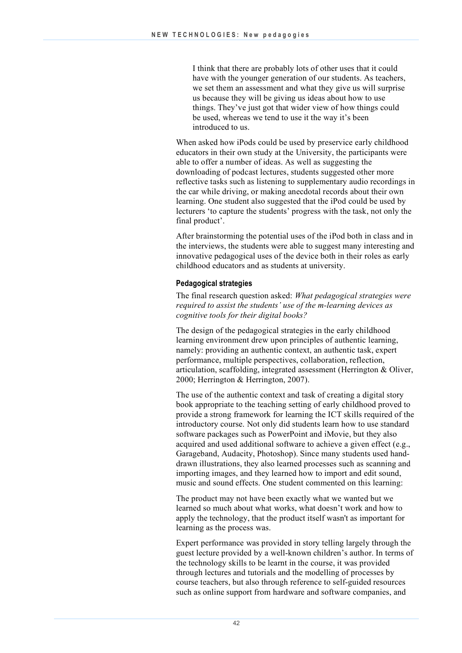I think that there are probably lots of other uses that it could have with the younger generation of our students. As teachers, we set them an assessment and what they give us will surprise us because they will be giving us ideas about how to use things. They've just got that wider view of how things could be used, whereas we tend to use it the way it's been introduced to us.

When asked how iPods could be used by preservice early childhood educators in their own study at the University, the participants were able to offer a number of ideas. As well as suggesting the downloading of podcast lectures, students suggested other more reflective tasks such as listening to supplementary audio recordings in the car while driving, or making anecdotal records about their own learning. One student also suggested that the iPod could be used by lecturers 'to capture the students' progress with the task, not only the final product'.

After brainstorming the potential uses of the iPod both in class and in the interviews, the students were able to suggest many interesting and innovative pedagogical uses of the device both in their roles as early childhood educators and as students at university.

### **Pedagogical strategies**

The final research question asked: *What pedagogical strategies were required to assist the students' use of the m-learning devices as cognitive tools for their digital books?*

The design of the pedagogical strategies in the early childhood learning environment drew upon principles of authentic learning, namely: providing an authentic context, an authentic task, expert performance, multiple perspectives, collaboration, reflection, articulation, scaffolding, integrated assessment (Herrington & Oliver, 2000; Herrington & Herrington, 2007).

The use of the authentic context and task of creating a digital story book appropriate to the teaching setting of early childhood proved to provide a strong framework for learning the ICT skills required of the introductory course. Not only did students learn how to use standard software packages such as PowerPoint and iMovie, but they also acquired and used additional software to achieve a given effect (e.g., Garageband, Audacity, Photoshop). Since many students used handdrawn illustrations, they also learned processes such as scanning and importing images, and they learned how to import and edit sound, music and sound effects. One student commented on this learning:

The product may not have been exactly what we wanted but we learned so much about what works, what doesn't work and how to apply the technology, that the product itself wasn't as important for learning as the process was.

Expert performance was provided in story telling largely through the guest lecture provided by a well-known children's author. In terms of the technology skills to be learnt in the course, it was provided through lectures and tutorials and the modelling of processes by course teachers, but also through reference to self-guided resources such as online support from hardware and software companies, and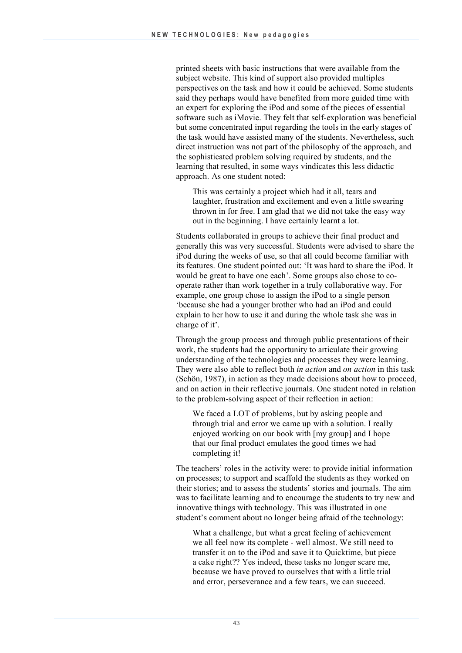printed sheets with basic instructions that were available from the subject website. This kind of support also provided multiples perspectives on the task and how it could be achieved. Some students said they perhaps would have benefited from more guided time with an expert for exploring the iPod and some of the pieces of essential software such as iMovie. They felt that self-exploration was beneficial but some concentrated input regarding the tools in the early stages of the task would have assisted many of the students. Nevertheless, such direct instruction was not part of the philosophy of the approach, and the sophisticated problem solving required by students, and the learning that resulted, in some ways vindicates this less didactic approach. As one student noted:

This was certainly a project which had it all, tears and laughter, frustration and excitement and even a little swearing thrown in for free. I am glad that we did not take the easy way out in the beginning. I have certainly learnt a lot.

Students collaborated in groups to achieve their final product and generally this was very successful. Students were advised to share the iPod during the weeks of use, so that all could become familiar with its features. One student pointed out: 'It was hard to share the iPod. It would be great to have one each'. Some groups also chose to cooperate rather than work together in a truly collaborative way. For example, one group chose to assign the iPod to a single person 'because she had a younger brother who had an iPod and could explain to her how to use it and during the whole task she was in charge of it'.

Through the group process and through public presentations of their work, the students had the opportunity to articulate their growing understanding of the technologies and processes they were learning. They were also able to reflect both *in action* and *on action* in this task (Schön, 1987), in action as they made decisions about how to proceed, and on action in their reflective journals. One student noted in relation to the problem-solving aspect of their reflection in action:

We faced a LOT of problems, but by asking people and through trial and error we came up with a solution. I really enjoyed working on our book with [my group] and I hope that our final product emulates the good times we had completing it!

The teachers' roles in the activity were: to provide initial information on processes; to support and scaffold the students as they worked on their stories; and to assess the students' stories and journals. The aim was to facilitate learning and to encourage the students to try new and innovative things with technology. This was illustrated in one student's comment about no longer being afraid of the technology:

What a challenge, but what a great feeling of achievement we all feel now its complete - well almost. We still need to transfer it on to the iPod and save it to Quicktime, but piece a cake right?? Yes indeed, these tasks no longer scare me, because we have proved to ourselves that with a little trial and error, perseverance and a few tears, we can succeed.